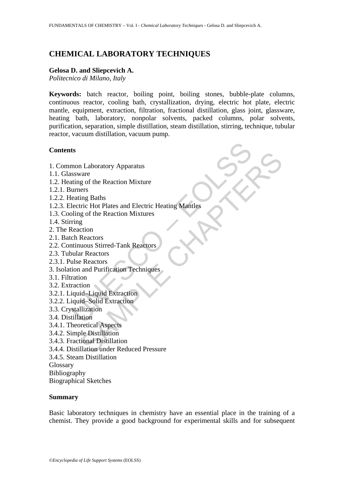# **CHEMICAL LABORATORY TECHNIQUES**

#### **Gelosa D. and Sliepcevich A.**

*Politecnico di Milano, Italy* 

**Keywords:** batch reactor, boiling point, boiling stones, bubble-plate columns, continuous reactor, cooling bath, crystallization, drying, electric hot plate, electric mantle, equipment, extraction, filtration, fractional distillation, glass joint, glassware, heating bath, laboratory, nonpolar solvents, packed columns, polar solvents, purification, separation, simple distillation, steam distillation, stirring, technique, tubular reactor, vacuum distillation, vacuum pump.

#### **Contents**

- 1. Common Laboratory Apparatus
- 1.1. Glassware
- 1.2. Heating of the Reaction Mixture
- 1.2.1. Burners
- 1.2.2. Heating Baths
- ts<br>
mon Laboratory Apparatus<br>
sisware<br>
uting of the Reaction Mixture<br>
urmers<br>
lectric Hot Plates and Electric Heating Mantles<br>
bling of the Reaction Mixtures<br>
ring<br>
Reaction<br>
th Reactors<br>
th Reactors<br>
unlar Reactors<br>
ullar n Laboratory Apparatus<br>
a g of the Reaction Mixture<br>
g of the Reaction Mixture<br>
ers<br>
ing Baths<br>
tric Hot Plates and Electric Heating Mantles<br>
g of the Reactors<br>
Reactors<br>
and Durification<br>
In Reactors<br>
in Reactors<br>
in the 1.2.3. Electric Hot Plates and Electric Heating Mantles
- 1.3. Cooling of the Reaction Mixtures
- 1.4. Stirring
- 2. The Reaction
- 2.1. Batch Reactors
- 2.2. Continuous Stirred-Tank Reactors
- 2.3. Tubular Reactors
- 2.3.1. Pulse Reactors
- 3. Isolation and Purification Techniques
- 3.1. Filtration
- 3.2. Extraction
- 3.2.1. Liquid–Liquid Extraction
- 3.2.2. Liquid–Solid Extraction
- 3.3. Crystallization
- 3.4. Distillation
- 3.4.1. Theoretical Aspects
- 3.4.2. Simple Distillation
- 3.4.3. Fractional Distillation
- 3.4.4. Distillation under Reduced Pressure
- 3.4.5. Steam Distillation
- Glossary
- Bibliography
- Biographical Sketches

#### **Summary**

Basic laboratory techniques in chemistry have an essential place in the training of a chemist. They provide a good background for experimental skills and for subsequent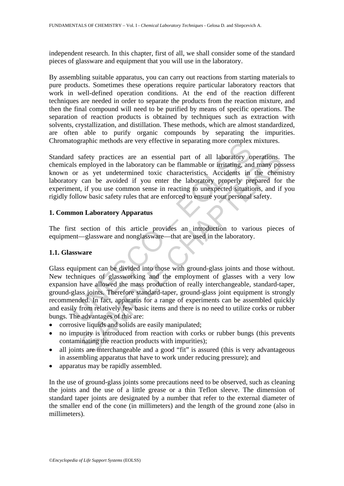independent research. In this chapter, first of all, we shall consider some of the standard pieces of glassware and equipment that you will use in the laboratory.

By assembling suitable apparatus, you can carry out reactions from starting materials to pure products. Sometimes these operations require particular laboratory reactors that work in well-defined operation conditions. At the end of the reaction different techniques are needed in order to separate the products from the reaction mixture, and then the final compound will need to be purified by means of specific operations. The separation of reaction products is obtained by techniques such as extraction with solvents, crystallization, and distillation. These methods, which are almost standardized, are often able to purify organic compounds by separating the impurities. Chromatographic methods are very effective in separating more complex mixtures.

Standard safety practices are an essential part of all laboratory operations. The chemicals employed in the laboratory can be flammable or irritating, and many possess known or as yet undetermined toxic characteristics. Accidents in the chemistry laboratory can be avoided if you enter the laboratory properly prepared for the experiment, if you use common sense in reacting to unexpected situations, and if you rigidly follow basic safety rules that are enforced to ensure your personal safety.

## **1. Common Laboratory Apparatus**

The first section of this article provides an introduction to various pieces of equipment—glassware and nonglassware—that are used in the laboratory.

## **1.1. Glassware**

designate includes are very effective in separating indice complex<br>designate melods are very effective in separating indice complex<br>dist employed in the laboratory can be flammable or irritating, and<br>or as yet undetermined safety practices are an essential part of all laboratory operations.<br>
employed in the laboratory can be flammable or irritating, and many pos<br>
as yet undetermined toxic characteristics. Accidents in the chemic<br>
can be avoi Glass equipment can be divided into those with ground-glass joints and those without. New techniques of glassworking and the employment of glasses with a very low expansion have allowed the mass production of really interchangeable, standard-taper, ground-glass joints. Therefore standard-taper, ground-glass joint equipment is strongly recommended. In fact, apparatus for a range of experiments can be assembled quickly and easily from relatively few basic items and there is no need to utilize corks or rubber bungs. The advantages of this are:

- corrosive liquids and solids are easily manipulated;
- no impurity is introduced from reaction with corks or rubber bungs (this prevents contaminating the reaction products with impurities);
- all joints are interchangeable and a good "fit" is assured (this is very advantageous in assembling apparatus that have to work under reducing pressure); and
- apparatus may be rapidly assembled.

In the use of ground-glass joints some precautions need to be observed, such as cleaning the joints and the use of a little grease or a thin Teflon sleeve. The dimension of standard taper joints are designated by a number that refer to the external diameter of the smaller end of the cone (in millimeters) and the length of the ground zone (also in millimeters).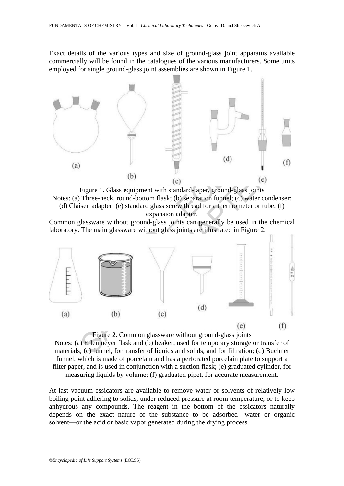Exact details of the various types and size of ground-glass joint apparatus available commercially will be found in the catalogues of the various manufacturers. Some units employed for single ground-glass joint assemblies are shown in Figure 1.



Figure 1. Glass equipment with standard-taper, ground-glass joints Notes: (a) Three-neck, round-bottom flask; (b) separation funnel; (c) water condenser; (d) Claisen adapter; (e) standard glass screw thread for a thermometer or tube; (f) expansion adapter.

Common glassware without ground-glass joints can generally be used in the chemical laboratory. The main glassware without glass joints are illustrated in Figure 2.



Figure 2. Common glassware without ground-glass joints Notes: (a) Erlenmeyer flask and (b) beaker, used for temporary storage or transfer of materials; (c) funnel, for transfer of liquids and solids, and for filtration; (d) Buchner funnel, which is made of porcelain and has a perforated porcelain plate to support a filter paper, and is used in conjunction with a suction flask; (e) graduated cylinder, for measuring liquids by volume; (f) graduated pipet, for accurate measurement.

At last vacuum essicators are available to remove water or solvents of relatively low boiling point adhering to solids, under reduced pressure at room temperature, or to keep anhydrous any compounds. The reagent in the bottom of the essicators naturally depends on the exact nature of the substance to be adsorbed—water or organic solvent—or the acid or basic vapor generated during the drying process.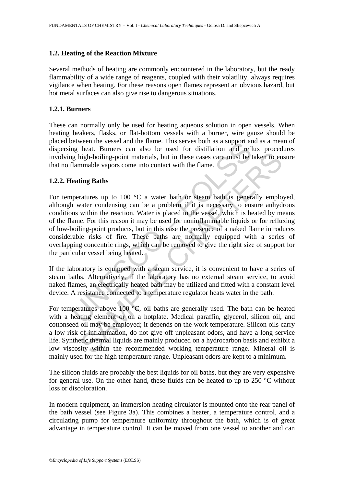### **1.2. Heating of the Reaction Mixture**

Several methods of heating are commonly encountered in the laboratory, but the ready flammability of a wide range of reagents, coupled with their volatility, always requires vigilance when heating. For these reasons open flames represent an obvious hazard, but hot metal surfaces can also give rise to dangerous situations.

#### **1.2.1. Burners**

These can normally only be used for heating aqueous solution in open vessels. When heating beakers, flasks, or flat-bottom vessels with a burner, wire gauze should be placed between the vessel and the flame. This serves both as a support and as a mean of dispersing heat. Burners can also be used for distillation and reflux procedures involving high-boiling-point materials, but in these cases care must be taken to ensure that no flammable vapors come into contact with the flame.

## **1.2.2. Heating Baths**

between the vesser and the name. This services both as a support and regulate. Burners can also be used for distillation and refl g high-boiling-point materials, but in these cases care must be the flammable vapors come in nigh-boiling-point materials, but in these cases care must be taken to enarmologically holding-point materials, but in these cases care must be taken to enarmable vapors come into contact with the flame. <br> **Example 2** a w For temperatures up to 100  $^{\circ}$ C a water bath or steam bath is generally employed, although water condensing can be a problem if it is necessary to ensure anhydrous conditions within the reaction. Water is placed in the vessel, which is heated by means of the flame. For this reason it may be used for noninflammable liquids or for refluxing of low-boiling-point products, but in this case the presence of a naked flame introduces considerable risks of fire. These baths are normally equipped with a series of overlapping concentric rings, which can be removed to give the right size of support for the particular vessel being heated.

If the laboratory is equipped with a steam service, it is convenient to have a series of steam baths. Alternatively, if the laboratory has no external steam service*,* to avoid naked flames, an electrically heated bath may be utilized and fitted with a constant level device. A resistance connected to a temperature regulator heats water in the bath.

For temperatures above 100 °C, oil baths are generally used. The bath can be heated with a heating element or on a hotplate. Medical paraffin, glycerol, silicon oil, and cottonseed oil may be employed; it depends on the work temperature. Silicon oils carry a low risk of inflammation, do not give off unpleasant odors, and have a long service life. Synthetic thermal liquids are mainly produced on a hydrocarbon basis and exhibit a low viscosity within the recommended working temperature range. Mineral oil is mainly used for the high temperature range. Unpleasant odors are kept to a minimum.

The silicon fluids are probably the best liquids for oil baths, but they are very expensive for general use. On the other hand, these fluids can be heated to up to  $250^{\circ}$ C without loss or discoloration.

In modern equipment, an immersion heating circulator is mounted onto the rear panel of the bath vessel (see Figure 3a). This combines a heater, a temperature control, and a circulating pump for temperature uniformity throughout the bath, which is of great advantage in temperature control. It can be moved from one vessel to another and can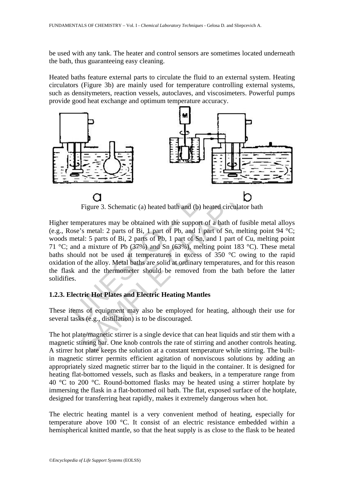be used with any tank. The heater and control sensors are sometimes located underneath the bath, thus guaranteeing easy cleaning.

Heated baths feature external parts to circulate the fluid to an external system. Heating circulators (Figure 3b) are mainly used for temperature controlling external systems, such as densitymeters, reaction vessels, autoclaves, and viscosimeters. Powerful pumps provide good heat exchange and optimum temperature accuracy.



Figure 3. Schematic (a) heated bath and (b) heated circulator bath

UNESCO – EOLSS SAMPLE CHAPTER CHAPTER (CHAPTER CHAPTER CHAPTER)<br>
SAMPLE CHAPTER CHAPTER CHAPTER CHAPTER CHAPTER CHAPTER CHAPTER (CHAPTER CHAPTER CHAPTER CHAPTER CHAPTER CHAPTER CHAPTER CHAPTER CHAPTER (CHAPTER CHAPTER CHAPTER CHAPTER CH Higher temperatures may be obtained with the support of a bath of fusible metal alloys (e.g., Rose's metal: 2 parts of Bi, 1 part of Pb, and 1 part of Sn, melting point 94 °C; woods metal: 5 parts of Bi, 2 parts of Pb, 1 part of Sn, and 1 part of Cu, melting point 71 °C; and a mixture of Pb (37%) and Sn (63%), melting point 183 °C). These metal baths should not be used at temperatures in excess of 350 °C owing to the rapid oxidation of the alloy. Metal baths are solid at ordinary temperatures, and for this reason the flask and the thermometer should be removed from the bath before the latter solidifies.

## **1.2.3. Electric Hot Plates and Electric Heating Mantles**

These items of equipment may also be employed for heating, although their use for several tasks (e.g., distillation) is to be discouraged.

The hot plate/magnetic stirrer is a single device that can heat liquids and stir them with a magnetic stirring bar. One knob controls the rate of stirring and another controls heating. A stirrer hot plate keeps the solution at a constant temperature while stirring. The builtin magnetic stirrer permits efficient agitation of nonviscous solutions by adding an appropriately sized magnetic stirrer bar to the liquid in the container. It is designed for heating flat-bottomed vessels, such as flasks and beakers, in a temperature range from 40  $\degree$ C to 200  $\degree$ C. Round-bottomed flasks may be heated using a stirrer hotplate by immersing the flask in a flat-bottomed oil bath. The flat, exposed surface of the hotplate, designed for transferring heat rapidly, makes it extremely dangerous when hot.

The electric heating mantel is a very convenient method of heating, especially for temperature above 100 °C. It consist of an electric resistance embedded within a hemispherical knitted mantle, so that the heat supply is as close to the flask to be heated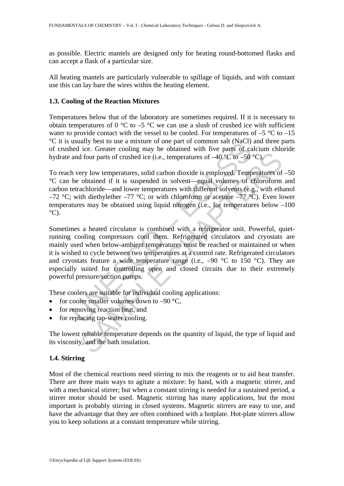as possible. Electric mantels are designed only for heating round-bottomed flasks and can accept a flask of a particular size.

All heating mantels are particularly vulnerable to spillage of liquids, and with constant use this can lay bare the wires within the heating element.

#### **1.3. Cooling of the Reaction Mixtures**

Temperatures below that of the laboratory are sometimes required. If it is necessary to obtain temperatures of 0  $\degree$ C to  $-5 \degree$ C we can use a slush of crushed ice with sufficient water to provide contact with the vessel to be cooled. For temperatures of  $-5$  °C to  $-15$ °C it is usually best to use a mixture of one part of common salt (NaCl) and three parts of crushed ice. Greater cooling may be obtained with five parts of calcium chloride hydrate and four parts of crushed ice (i.e., temperatures of  $-40\degree\text{C}$  to  $-50\degree\text{C}$ ).

To reach very low temperatures, solid carbon dioxide is employed. Temperatures of –50 °C can be obtained if it is suspended in solvent—equal volumes of chloroform and carbon tetrachloride—and lower temperatures with different solvents (e.g., with ethanol –72 °C; with diethylether –77 °C; or with chloroform or acetone –77 °C). Even lower temperatures may be obtained using liquid nitrogen (i.e., for temperatures below –100  $^{\circ}$ C).

usually best to use a linkine of one pair of commons said inceled ice. Greater cooling may be obtained with five parts of can<br>end ice. Greater cooling may be obtained with five parts of can<br>and four parts of crushed ice ( From the control of the quantity control of the quantity  $\phi$  and the property of the propertatures of  $-40^{\circ}\text{C}$  to  $-50^{\circ}\text{C}$ ).<br>Figure 16 of this suspended in solvent—equal volumes of chloroform achibred if it is Sometimes a heated circulator is combined with a refrigerator unit. Powerful, quietrunning cooling compressors cool them. Refrigerated circulators and cryostats are mainly used when below-ambient temperatures must be reached or maintained or when it is wished to cycle between two temperatures at a control rate. Refrigerated circulators and cryostats feature a wide temperature range (i.e.,  $-90\degree C$  to 150  $\degree C$ ). They are especially suited for controlling open and closed circuits due to their extremely powerful pressure/suction pumps.

These coolers are suitable for individual cooling applications:

- for cooler smaller volumes down to  $-90$  °C,
- for removing reaction heat, and
- for replacing tap-water cooling.

The lowest reliable temperature depends on the quantity of liquid, the type of liquid and its viscosity, and the bath insulation.

## **1.4. Stirring**

Most of the chemical reactions need stirring to mix the reagents or to aid heat transfer. There are three main ways to agitate a mixture: by hand, with a magnetic stirrer, and with a mechanical stirrer; but when a constant stirring is needed for a sustained period, a stirrer motor should be used. Magnetic stirring has many applications, but the most important is probably stirring in closed systems. Magnetic stirrers are easy to use, and have the advantage that they are often combined with a hotplate. Hot-plate stirrers allow you to keep solutions at a constant temperature while stirring.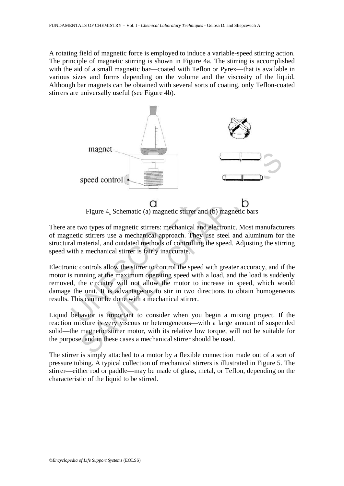A rotating field of magnetic force is employed to induce a variable-speed stirring action. The principle of magnetic stirring is shown in Figure 4a. The stirring is accomplished with the aid of a small magnetic bar—coated with Teflon or Pyrex—that is available in various sizes and forms depending on the volume and the viscosity of the liquid. Although bar magnets can be obtained with several sorts of coating, only Teflon-coated stirrers are universally useful (see Figure 4b).



Figure 4. Schematic (a) magnetic stirrer and (b) magnetic bars

There are two types of magnetic stirrers: mechanical and electronic. Most manufacturers of magnetic stirrers use a mechanical approach. They use steel and aluminum for the structural material, and outdated methods of controlling the speed. Adjusting the stirring speed with a mechanical stirrer is fairly inaccurate.

Electronic controls allow the stirrer to control the speed with greater accuracy, and if the motor is running at the maximum operating speed with a load, and the load is suddenly removed, the circuitry will not allow the motor to increase in speed, which would damage the unit. It is advantageous to stir in two directions to obtain homogeneous results. This cannot be done with a mechanical stirrer.

Liquid behavior is important to consider when you begin a mixing project. If the reaction mixture is very viscous or heterogeneous—with a large amount of suspended solid—the magnetic stirrer motor, with its relative low torque, will not be suitable for the purpose, and in these cases a mechanical stirrer should be used.

The stirrer is simply attached to a motor by a flexible connection made out of a sort of pressure tubing. A typical collection of mechanical stirrers is illustrated in Figure 5. The stirrer—either rod or paddle—may be made of glass, metal, or Teflon, depending on the characteristic of the liquid to be stirred.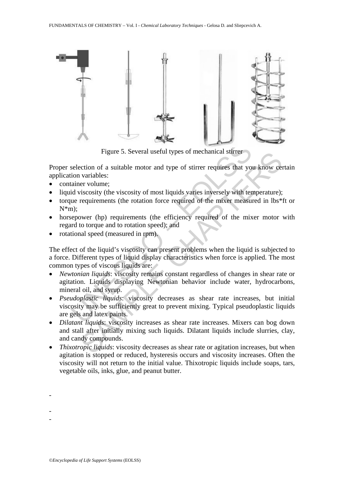

Figure 5. Several useful types of mechanical stirrer

Proper selection of a suitable motor and type of stirrer requires that you know certain application variables:

- container volume;
- liquid viscosity (the viscosity of most liquids varies inversely with temperature);
- torque requirements (the rotation force required of the mixer measured in lbs\*ft or  $N*m$ );
- horsepower (hp) requirements (the efficiency required of the mixer motor with regard to torque and to rotation speed); and
- rotational speed (measured in rpm).

The effect of the liquid's viscosity can present problems when the liquid is subjected to a force. Different types of liquid display characteristics when force is applied. The most common types of viscous liquids are:

- Figure 5. Several useful types of mechanical stirrer<br>selection of a suitable motor and type of stirrer requires that yo<br>ion variables:<br>tainer volume;<br>id viscosity (the viscosity of most liquids varies inversely with ter<br>ue Figure 5. Several useful types or mechanical surfer<br>
reduction of a suitable motor and type of stirrer requires that you know cer<br>
variables:<br>
six cosity (the viscosity of most liquids varies inversely with temperature);<br> • *Newtonian liquids*: viscosity remains constant regardless of changes in shear rate or agitation. Liquids displaying Newtonian behavior include water, hydrocarbons, mineral oil, and syrup.
- *Pseudoplastic liquids*: viscosity decreases as shear rate increases, but initial viscosity may be sufficiently great to prevent mixing. Typical pseudoplastic liquids are gels and latex paints.
- *Dilatant liquids*: viscosity increases as shear rate increases. Mixers can bog down and stall after initially mixing such liquids. Dilatant liquids include slurries, clay, and candy compounds.
- *Thixotropic liquids*: viscosity decreases as shear rate or agitation increases, but when agitation is stopped or reduced, hysteresis occurs and viscosity increases. Often the viscosity will not return to the initial value. Thixotropic liquids include soaps, tars, vegetable oils, inks, glue, and peanut butter.

-

-

-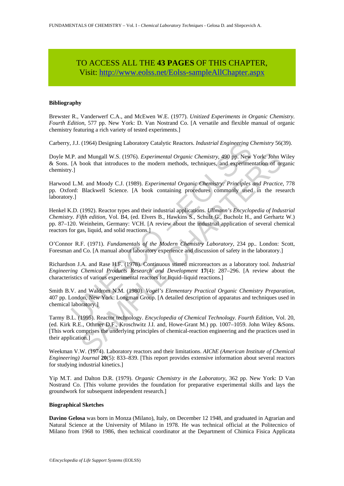# TO ACCESS ALL THE **43 PAGES** OF THIS CHAPTER, Vis[it: http://www.eolss.net/Eolss-sampleAllChapter.aspx](https://www.eolss.net/ebooklib/sc_cart.aspx?File=E6-11-02-01)

#### **Bibliography**

Brewster R., Vanderwerf C.A., and McEwen W.E. (1977). *Unitized Experiments in Organic Chemistry. Fourth Edition*, 577 pp. New York: D. Van Nostrand Co. [A versatile and flexible manual of organic chemistry featuring a rich variety of tested experiments.]

Carberry, J.J. (1964) Designing Laboratory Catalytic Reactors. *Industrial Engineering Chemistry* 56(39).

Doyle M.P. and Mungall W.S. (1976). *Experimental Organic Chemistry*, 490 pp. New York: John Wiley & Sons. [A book that introduces to the modern methods, techniques, and experimentation of organic chemistry.]

Harwood L.M. and Moody C.J. (1989). *Experimental Organic Chemistry: Principles and Practice*, 778 pp. Oxford: Blackwell Science. [A book containing procedures commonly used in the research laboratory.]

J.J. (1964) Designing Laboratory Catalytic Reactors. *Industrial Engineering C*<br>P. and Mungall W.S. (1976). *Experimental Organic Chemistry*, 490 pp. New<br>[A book that introduces to the modern methods, techniques, and exper Henkel K.D. (1992). Reactor types and their industrial applications. *Ullmann's Encyclopedia of Industrial Chemistry. Fifth edition*, Vol. B4, (ed. Elvers B., Hawkins S., Schulz G., Bucholz H., and Gerhartz W.) pp. 87–120. Weinheim, Germany: VCH. [A review about the industrial application of several chemical reactors for gas, liquid, and solid reactions.]

O'Connor R.F. (1971). *Fundamentals of the Modern Chemistry Laboratory*, 234 pp.*.* London: Scott, Foresman and Co. [A manual about laboratory experience and discussion of safety in the laboratory.]

Richardson J.A. and Rase H.F. (1978). Continuous stirred microreactors as a laboratory tool. *Industrial Engineering Chemical Products Research and Development* **17**(4): 287–296. [A review about the characteristics of various experimental reactors for liquid–liquid reactions.]

Smith B.V. and Waldrom N.M. (1980). *Vogel's Elementary Practical Organic Chemistry Preparation*, 407 pp. London, New York: Longman Group. [A detailed description of apparatus and techniques used in chemical laboratory.]

and Mungall W.S. (1976). *Experimental Organic Chemistry*, 490 pp. New York: John Vook that introduces to the modern methods, techniques, and experimentation of organic M. and Moody C.J. (1989). *Experimental Organic Chemi* Tarmy B.L. (1995). Reactor technology. *Encyclopedia of Chemical Technology. Fourth Edition*, Vol. 20, (ed. Kirk R.E., Othmer D.F., Kroschwitz J.I. and, Howe-Grant M.) pp. 1007–1059. John Wiley &Sons. [This work comprises the underlying principles of chemical-reaction engineering and the practices used in their application.]

Weekman V.W. (1974). Laboratory reactors and their limitations. *AIChE (American Institute of Chemical Engineering) Journal* **20**(5): 833–839. [This report provides extensive information about several reactors for studying industrial kinetics.]

Yip M.T. and Dalton D.R. (1979). *Organic Chemistry in the Laboratory*, 362 pp. New York: D Van Nostrand Co. [This volume provides the foundation for preparative experimental skills and lays the groundwork for subsequent independent research.]

#### **Biographical Sketches**

**Davino Gelosa** was born in Monza (Milano), Italy, on December 12 1948, and graduated in Agrarian and Natural Science at the University of Milano in 1978. He was technical official at the Politecnico of Milano from 1968 to 1986, then technical coordinator at the Department of Chimica Fisica Applicata